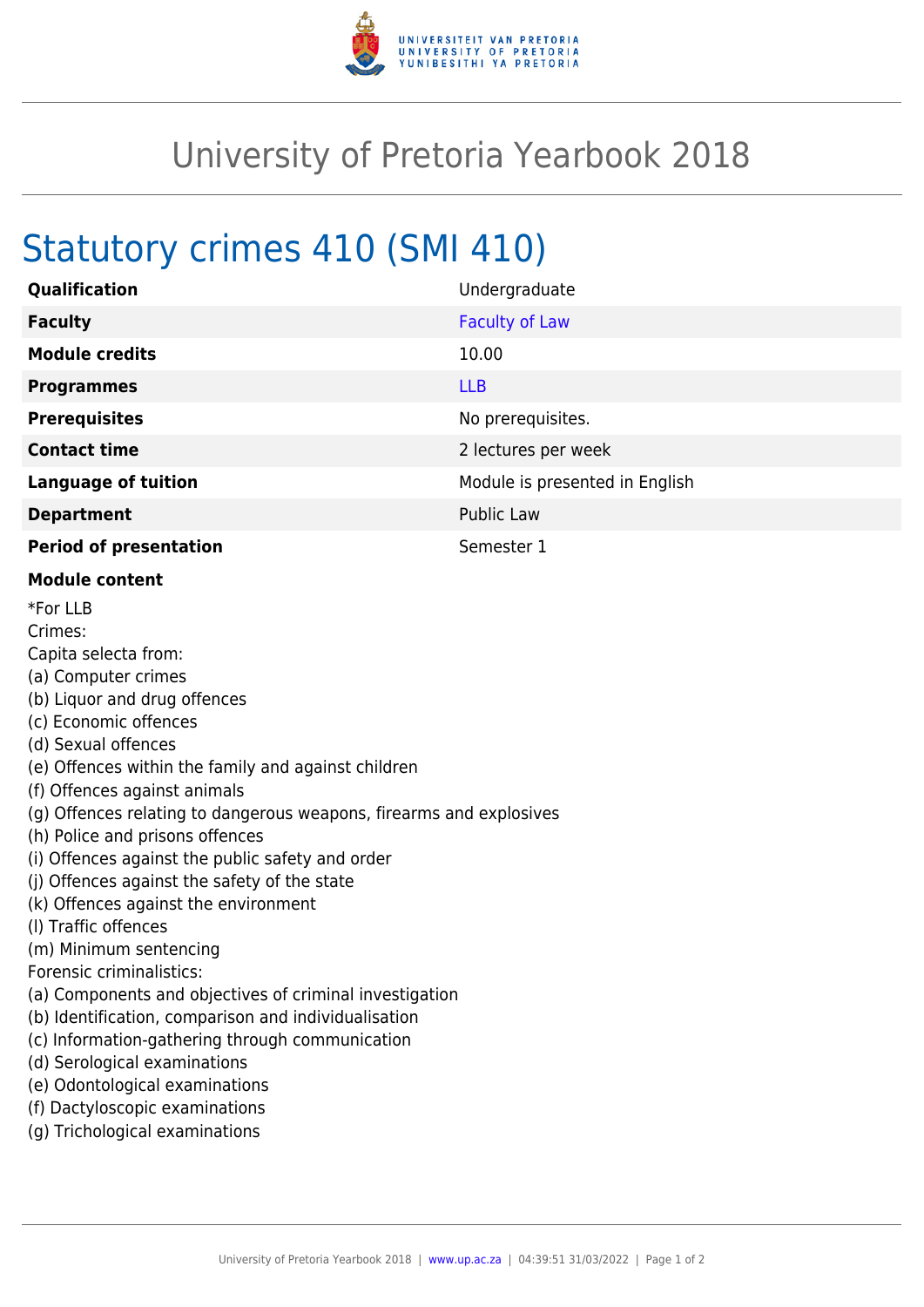

## University of Pretoria Yearbook 2018

## Statutory crimes 410 (SMI 410)

| Qualification                                                                                                                                                                                                                                                                                                                                                                                                                                                                                                                                                                                                                                                                                                                                                                                                                                           | Undergraduate                  |
|---------------------------------------------------------------------------------------------------------------------------------------------------------------------------------------------------------------------------------------------------------------------------------------------------------------------------------------------------------------------------------------------------------------------------------------------------------------------------------------------------------------------------------------------------------------------------------------------------------------------------------------------------------------------------------------------------------------------------------------------------------------------------------------------------------------------------------------------------------|--------------------------------|
| <b>Faculty</b>                                                                                                                                                                                                                                                                                                                                                                                                                                                                                                                                                                                                                                                                                                                                                                                                                                          | <b>Faculty of Law</b>          |
| <b>Module credits</b>                                                                                                                                                                                                                                                                                                                                                                                                                                                                                                                                                                                                                                                                                                                                                                                                                                   | 10.00                          |
| <b>Programmes</b>                                                                                                                                                                                                                                                                                                                                                                                                                                                                                                                                                                                                                                                                                                                                                                                                                                       | <b>LLB</b>                     |
| <b>Prerequisites</b>                                                                                                                                                                                                                                                                                                                                                                                                                                                                                                                                                                                                                                                                                                                                                                                                                                    | No prerequisites.              |
| <b>Contact time</b>                                                                                                                                                                                                                                                                                                                                                                                                                                                                                                                                                                                                                                                                                                                                                                                                                                     | 2 lectures per week            |
| <b>Language of tuition</b>                                                                                                                                                                                                                                                                                                                                                                                                                                                                                                                                                                                                                                                                                                                                                                                                                              | Module is presented in English |
| <b>Department</b>                                                                                                                                                                                                                                                                                                                                                                                                                                                                                                                                                                                                                                                                                                                                                                                                                                       | Public Law                     |
| <b>Period of presentation</b>                                                                                                                                                                                                                                                                                                                                                                                                                                                                                                                                                                                                                                                                                                                                                                                                                           | Semester 1                     |
| <b>Module content</b>                                                                                                                                                                                                                                                                                                                                                                                                                                                                                                                                                                                                                                                                                                                                                                                                                                   |                                |
| *For LLB<br>Crimes:<br>Capita selecta from:<br>(a) Computer crimes<br>(b) Liquor and drug offences<br>(c) Economic offences<br>(d) Sexual offences<br>(e) Offences within the family and against children<br>(f) Offences against animals<br>(g) Offences relating to dangerous weapons, firearms and explosives<br>(h) Police and prisons offences<br>(i) Offences against the public safety and order<br>(j) Offences against the safety of the state<br>(k) Offences against the environment<br>(I) Traffic offences<br>(m) Minimum sentencing<br>Forensic criminalistics:<br>(a) Components and objectives of criminal investigation<br>(b) Identification, comparison and individualisation<br>(c) Information-gathering through communication<br>(d) Serological examinations<br>(e) Odontological examinations<br>(f) Dactyloscopic examinations |                                |

(g) Trichological examinations